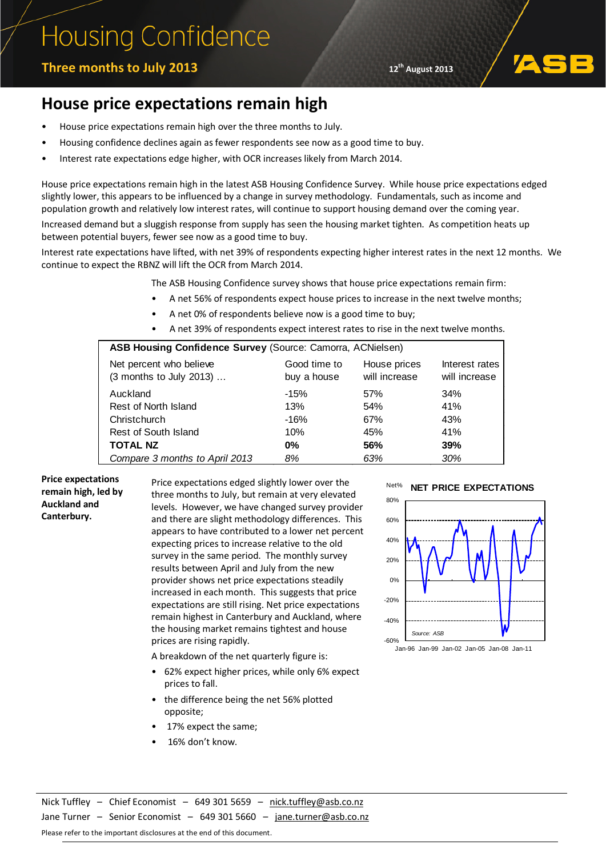# **Housing Confidence**

### **12<sup>th</sup> August 2013 12<sup>th</sup> August 2013**

### **House price expectations remain high**

- House price expectations remain high over the three months to July.
- Housing confidence declines again as fewer respondents see now as a good time to buy.
- Interest rate expectations edge higher, with OCR increases likely from March 2014.

House price expectations remain high in the latest ASB Housing Confidence Survey. While house price expectations edged slightly lower, this appears to be influenced by a change in survey methodology. Fundamentals, such as income and population growth and relatively low interest rates, will continue to support housing demand over the coming year.

Increased demand but a sluggish response from supply has seen the housing market tighten. As competition heats up between potential buyers, fewer see now as a good time to buy.

Interest rate expectations have lifted, with net 39% of respondents expecting higher interest rates in the next 12 months. We continue to expect the RBNZ will lift the OCR from March 2014.

- The ASB Housing Confidence survey shows that house price expectations remain firm:
	- A net 56% of respondents expect house prices to increase in the next twelve months;
	- A net 0% of respondents believe now is a good time to buy;
	- A net 39% of respondents expect interest rates to rise in the next twelve months.

| ASB Housing Confidence Survey (Source: Camorra, ACNielsen) |              |               |                |  |  |
|------------------------------------------------------------|--------------|---------------|----------------|--|--|
| Net percent who believe                                    | Good time to | House prices  | Interest rates |  |  |
| (3 months to July 2013)                                    | buy a house  | will increase | will increase  |  |  |
| Auckland                                                   | $-15%$       | 57%           | 34%            |  |  |
| Rest of North Island                                       | 13%          | 54%           | 41%            |  |  |
| Christchurch                                               | $-16%$       | 67%           | 43%            |  |  |
| Rest of South Island                                       | 10%          | 45%           | 41%            |  |  |
| <b>TOTAL NZ</b>                                            | $0\%$        | 56%           | 39%            |  |  |
| Compare 3 months to April 2013                             | 8%           | 63%           | 30%            |  |  |

#### **Price expectations remain high, led by Auckland and Canterbury.**

Price expectations edged slightly lower over the three months to July, but remain at very elevated levels. However, we have changed survey provider and there are slight methodology differences. This appears to have contributed to a lower net percent expecting prices to increase relative to the old survey in the same period. The monthly survey results between April and July from the new provider shows net price expectations steadily increased in each month. This suggests that price expectations are still rising. Net price expectations remain highest in Canterbury and Auckland, where the housing market remains tightest and house prices are rising rapidly.

A breakdown of the net quarterly figure is:

- 62% expect higher prices, while only 6% expect prices to fall.
- the difference being the net 56% plotted opposite;
- 17% expect the same;
- 16% don't know.

#### Net% **NET PRICE EXPECTATIONS**



Jan-96 Jan-99 Jan-02 Jan-05 Jan-08 Jan-11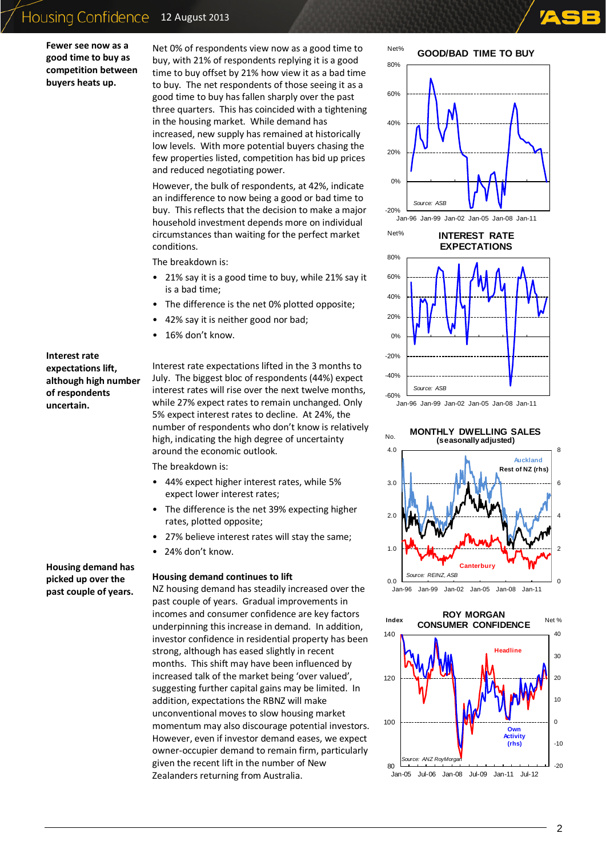### Housing Confidence 12 August 2013

**Fewer see now as a good time to buy as competition between buyers heats up.** 

Net 0% of respondents view now as a good time to buy, with 21% of respondents replying it is a good time to buy offset by 21% how view it as a bad time to buy. The net respondents of those seeing it as a good time to buy has fallen sharply over the past three quarters. This has coincided with a tightening in the housing market. While demand has increased, new supply has remained at historically low levels. With more potential buyers chasing the few properties listed, competition has bid up prices and reduced negotiating power.

However, the bulk of respondents, at 42%, indicate an indifference to now being a good or bad time to buy. This reflects that the decision to make a major household investment depends more on individual circumstances than waiting for the perfect market conditions.

The breakdown is:

- 21% say it is a good time to buy, while 21% say it is a bad time;
- The difference is the net 0% plotted opposite;
- 42% say it is neither good nor bad;
- 16% don't know.

#### **Interest rate expectations lift, although high number of respondents uncertain.**

**Housing demand has picked up over the past couple of years.** 

#### Interest rate expectations lifted in the 3 months to July. The biggest bloc of respondents (44%) expect interest rates will rise over the next twelve months, while 27% expect rates to remain unchanged. Only 5% expect interest rates to decline. At 24%, the number of respondents who don't know is relatively high, indicating the high degree of uncertainty around the economic outlook.

The breakdown is:

- 44% expect higher interest rates, while 5% expect lower interest rates;
- The difference is the net 39% expecting higher rates, plotted opposite;
- 27% believe interest rates will stay the same;
- 24% don't know.

#### **Housing demand continues to lift**

NZ housing demand has steadily increased over the past couple of years. Gradual improvements in incomes and consumer confidence are key factors underpinning this increase in demand. In addition, investor confidence in residential property has been strong, although has eased slightly in recent months. This shift may have been influenced by increased talk of the market being 'over valued', suggesting further capital gains may be limited. In addition, expectations the RBNZ will make unconventional moves to slow housing market momentum may also discourage potential investors. However, even if investor demand eases, we expect owner-occupier demand to remain firm, particularly given the recent lift in the number of New Zealanders returning from Australia.



Net% **INTEREST RATE** 



Jan-96 Jan-99 Jan-02 Jan-05 Jan-08 Jan-11



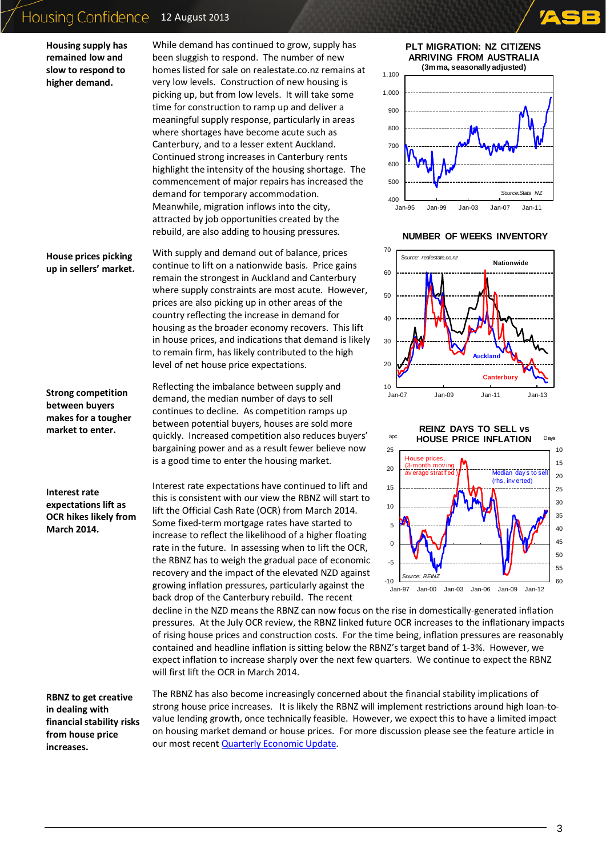## Housing Confidence 12 August 2013

**Housing supply has remained low and slow to respond to higher demand.** 

#### **House prices picking up in sellers' market.**

**Strong competition between buyers makes for a tougher market to enter.** 

**Interest rate expectations lift as OCR hikes likely from March 2014.**

While demand has continued to grow, supply has been sluggish to respond. The number of new homes listed for sale on realestate.co.nz remains at very low levels. Construction of new housing is picking up, but from low levels. It will take some time for construction to ramp up and deliver a meaningful supply response, particularly in areas where shortages have become acute such as Canterbury, and to a lesser extent Auckland. Continued strong increases in Canterbury rents highlight the intensity of the housing shortage. The commencement of major repairs has increased the demand for temporary accommodation. Meanwhile, migration inflows into the city, attracted by job opportunities created by the rebuild, are also adding to housing pressures.

With supply and demand out of balance, prices continue to lift on a nationwide basis. Price gains remain the strongest in Auckland and Canterbury where supply constraints are most acute. However, prices are also picking up in other areas of the country reflecting the increase in demand for housing as the broader economy recovers. This lift in house prices, and indications that demand is likely to remain firm, has likely contributed to the high level of net house price expectations.

Reflecting the imbalance between supply and demand, the median number of days to sell continues to decline. As competition ramps up between potential buyers, houses are sold more quickly. Increased competition also reduces buyers' bargaining power and as a result fewer believe now is a good time to enter the housing market.

Interest rate expectations have continued to lift and this is consistent with our view the RBNZ will start to lift the Official Cash Rate (OCR) from March 2014. Some fixed-term mortgage rates have started to increase to reflect the likelihood of a higher floating rate in the future. In assessing when to lift the OCR, the RBNZ has to weigh the gradual pace of economic recovery and the impact of the elevated NZD against growing inflation pressures, particularly against the back drop of the Canterbury rebuild. The recent





#### **NUMBER OF WEEKS INVENTORY**





decline in the NZD means the RBNZ can now focus on the rise in domestically-generated inflation pressures. At the July OCR review, the RBNZ linked future OCR increases to the inflationary impacts of rising house prices and construction costs. For the time being, inflation pressures are reasonably contained and headline inflation is sitting below the RBNZ's target band of 1-3%. However, we expect inflation to increase sharply over the next few quarters. We continue to expect the RBNZ will first lift the OCR in March 2014.

**RBNZ to get creative in dealing with financial stability risks from house price increases.** 

The RBNZ has also become increasingly concerned about the financial stability implications of strong house price increases. It is likely the RBNZ will implement restrictions around high loan-tovalue lending growth, once technically feasible. However, we expect this to have a limited impact on housing market demand or house prices. For more discussion please see the feature article in our most recen[t Quarterly Economic Update.](https://reports.asb.co.nz/tp/download/440665/71a200f7cda6b34601f7f2912108b58d/QF13July.pdf)